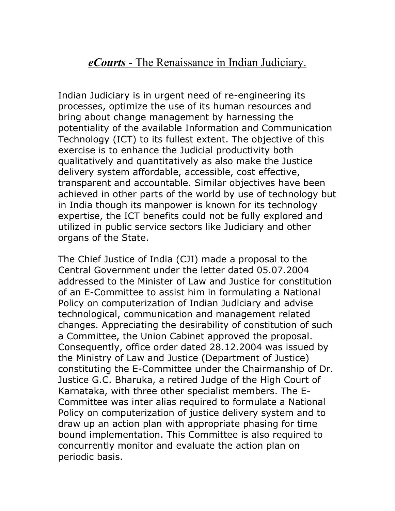## *eCourts* - The Renaissance in Indian Judiciary.

Indian Judiciary is in urgent need of re-engineering its processes, optimize the use of its human resources and bring about change management by harnessing the potentiality of the available Information and Communication Technology (ICT) to its fullest extent. The objective of this exercise is to enhance the Judicial productivity both qualitatively and quantitatively as also make the Justice delivery system affordable, accessible, cost effective, transparent and accountable. Similar objectives have been achieved in other parts of the world by use of technology but in India though its manpower is known for its technology expertise, the ICT benefits could not be fully explored and utilized in public service sectors like Judiciary and other organs of the State.

The Chief Justice of India (CJI) made a proposal to the Central Government under the letter dated 05.07.2004 addressed to the Minister of Law and Justice for constitution of an E-Committee to assist him in formulating a National Policy on computerization of Indian Judiciary and advise technological, communication and management related changes. Appreciating the desirability of constitution of such a Committee, the Union Cabinet approved the proposal. Consequently, office order dated 28.12.2004 was issued by the Ministry of Law and Justice (Department of Justice) constituting the E-Committee under the Chairmanship of Dr. Justice G.C. Bharuka, a retired Judge of the High Court of Karnataka, with three other specialist members. The E-Committee was inter alias required to formulate a National Policy on computerization of justice delivery system and to draw up an action plan with appropriate phasing for time bound implementation. This Committee is also required to concurrently monitor and evaluate the action plan on periodic basis.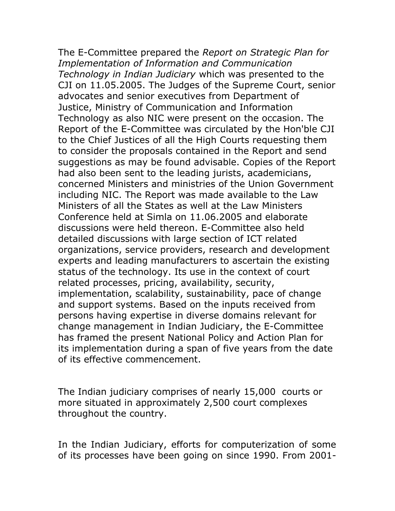The E-Committee prepared the *Report on Strategic Plan for Implementation of Information and Communication Technology in Indian Judiciary* which was presented to the CJI on 11.05.2005. The Judges of the Supreme Court, senior advocates and senior executives from Department of Justice, Ministry of Communication and Information Technology as also NIC were present on the occasion. The Report of the E-Committee was circulated by the Hon'ble CJI to the Chief Justices of all the High Courts requesting them to consider the proposals contained in the Report and send suggestions as may be found advisable. Copies of the Report had also been sent to the leading jurists, academicians, concerned Ministers and ministries of the Union Government including NIC. The Report was made available to the Law Ministers of all the States as well at the Law Ministers Conference held at Simla on 11.06.2005 and elaborate discussions were held thereon. E-Committee also held detailed discussions with large section of ICT related organizations, service providers, research and development experts and leading manufacturers to ascertain the existing status of the technology. Its use in the context of court related processes, pricing, availability, security, implementation, scalability, sustainability, pace of change and support systems. Based on the inputs received from persons having expertise in diverse domains relevant for change management in Indian Judiciary, the E-Committee has framed the present National Policy and Action Plan for its implementation during a span of five years from the date of its effective commencement.

The Indian judiciary comprises of nearly 15,000 courts or more situated in approximately 2,500 court complexes throughout the country.

In the Indian Judiciary, efforts for computerization of some of its processes have been going on since 1990. From 2001-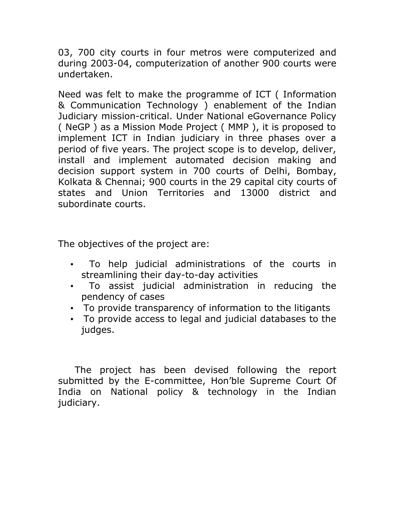03, 700 city courts in four metros were computerized and during 2003-04, computerization of another 900 courts were undertaken.

Need was felt to make the programme of ICT ( Information & Communication Technology ) enablement of the Indian Judiciary mission-critical. Under National eGovernance Policy ( NeGP ) as a Mission Mode Project ( MMP ), it is proposed to implement ICT in Indian judiciary in three phases over a period of five years. The project scope is to develop, deliver, install and implement automated decision making and decision support system in 700 courts of Delhi, Bombay, Kolkata & Chennai; 900 courts in the 29 capital city courts of states and Union Territories and 13000 district and subordinate courts.

The objectives of the project are:

- To help judicial administrations of the courts in streamlining their day-to-day activities
- To assist judicial administration in reducing the pendency of cases
- To provide transparency of information to the litigants
- To provide access to legal and judicial databases to the judges.

 The project has been devised following the report submitted by the E-committee, Hon'ble Supreme Court Of India on National policy & technology in the Indian judiciary.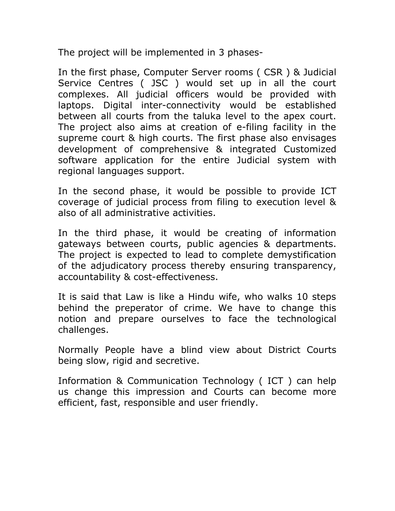The project will be implemented in 3 phases-

In the first phase, Computer Server rooms ( CSR ) & Judicial Service Centres ( JSC ) would set up in all the court complexes. All judicial officers would be provided with laptops. Digital inter-connectivity would be established between all courts from the taluka level to the apex court. The project also aims at creation of e-filing facility in the supreme court & high courts. The first phase also envisages development of comprehensive & integrated Customized software application for the entire Judicial system with regional languages support.

In the second phase, it would be possible to provide ICT coverage of judicial process from filing to execution level & also of all administrative activities.

In the third phase, it would be creating of information gateways between courts, public agencies & departments. The project is expected to lead to complete demystification of the adjudicatory process thereby ensuring transparency, accountability & cost-effectiveness.

It is said that Law is like a Hindu wife, who walks 10 steps behind the preperator of crime. We have to change this notion and prepare ourselves to face the technological challenges.

Normally People have a blind view about District Courts being slow, rigid and secretive.

Information & Communication Technology ( ICT ) can help us change this impression and Courts can become more efficient, fast, responsible and user friendly.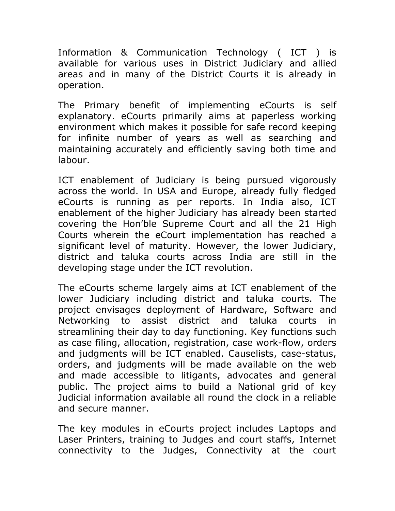Information & Communication Technology ( ICT ) is available for various uses in District Judiciary and allied areas and in many of the District Courts it is already in operation.

The Primary benefit of implementing eCourts is self explanatory. eCourts primarily aims at paperless working environment which makes it possible for safe record keeping for infinite number of years as well as searching and maintaining accurately and efficiently saving both time and labour.

ICT enablement of Judiciary is being pursued vigorously across the world. In USA and Europe, already fully fledged eCourts is running as per reports. In India also, ICT enablement of the higher Judiciary has already been started covering the Hon'ble Supreme Court and all the 21 High Courts wherein the eCourt implementation has reached a significant level of maturity. However, the lower Judiciary, district and taluka courts across India are still in the developing stage under the ICT revolution.

The eCourts scheme largely aims at ICT enablement of the lower Judiciary including district and taluka courts. The project envisages deployment of Hardware, Software and Networking to assist district and taluka courts in streamlining their day to day functioning. Key functions such as case filing, allocation, registration, case work-flow, orders and judgments will be ICT enabled. Causelists, case-status, orders, and judgments will be made available on the web and made accessible to litigants, advocates and general public. The project aims to build a National grid of key Judicial information available all round the clock in a reliable and secure manner.

The key modules in eCourts project includes Laptops and Laser Printers, training to Judges and court staffs, Internet connectivity to the Judges, Connectivity at the court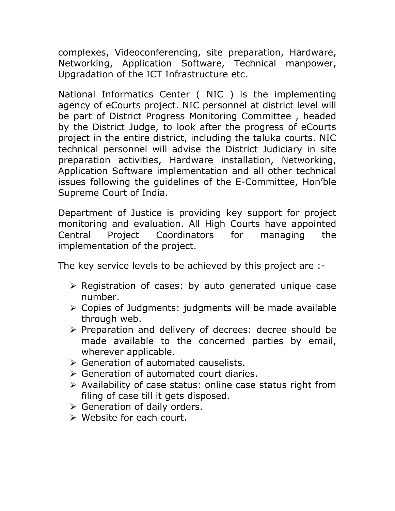complexes, Videoconferencing, site preparation, Hardware, Networking, Application Software, Technical manpower, Upgradation of the ICT Infrastructure etc.

National Informatics Center ( NIC ) is the implementing agency of eCourts project. NIC personnel at district level will be part of District Progress Monitoring Committee , headed by the District Judge, to look after the progress of eCourts project in the entire district, including the taluka courts. NIC technical personnel will advise the District Judiciary in site preparation activities, Hardware installation, Networking, Application Software implementation and all other technical issues following the guidelines of the E-Committee, Hon'ble Supreme Court of India.

Department of Justice is providing key support for project monitoring and evaluation. All High Courts have appointed Central Project Coordinators for managing the implementation of the project.

The key service levels to be achieved by this project are :-

- $\triangleright$  Registration of cases: by auto generated unique case number.
- Copies of Judgments: judgments will be made available through web.
- $\triangleright$  Preparation and delivery of decrees: decree should be made available to the concerned parties by email, wherever applicable.
- Generation of automated causelists.
- Generation of automated court diaries.
- $\triangleright$  Availability of case status: online case status right from filing of case till it gets disposed.
- ▶ Generation of daily orders.
- Website for each court.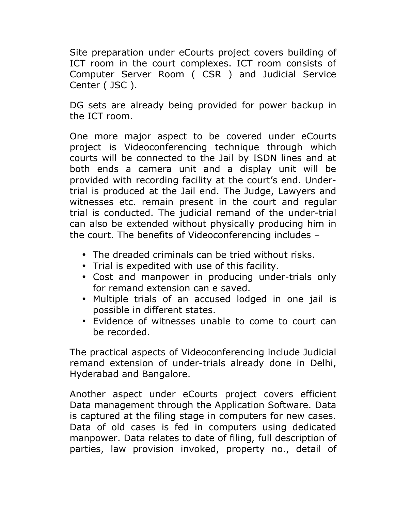Site preparation under eCourts project covers building of ICT room in the court complexes. ICT room consists of Computer Server Room ( CSR ) and Judicial Service Center ( JSC ).

DG sets are already being provided for power backup in the ICT room.

One more major aspect to be covered under eCourts project is Videoconferencing technique through which courts will be connected to the Jail by ISDN lines and at both ends a camera unit and a display unit will be provided with recording facility at the court's end. Undertrial is produced at the Jail end. The Judge, Lawyers and witnesses etc. remain present in the court and regular trial is conducted. The judicial remand of the under-trial can also be extended without physically producing him in the court. The benefits of Videoconferencing includes –

- The dreaded criminals can be tried without risks.
- Trial is expedited with use of this facility.
- Cost and manpower in producing under-trials only for remand extension can e saved.
- Multiple trials of an accused lodged in one jail is possible in different states.
- Evidence of witnesses unable to come to court can be recorded.

The practical aspects of Videoconferencing include Judicial remand extension of under-trials already done in Delhi, Hyderabad and Bangalore.

Another aspect under eCourts project covers efficient Data management through the Application Software. Data is captured at the filing stage in computers for new cases. Data of old cases is fed in computers using dedicated manpower. Data relates to date of filing, full description of parties, law provision invoked, property no., detail of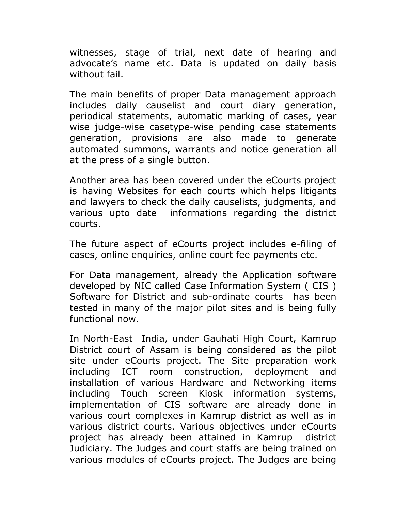witnesses, stage of trial, next date of hearing and advocate's name etc. Data is updated on daily basis without fail.

The main benefits of proper Data management approach includes daily causelist and court diary generation, periodical statements, automatic marking of cases, year wise judge-wise casetype-wise pending case statements generation, provisions are also made to generate automated summons, warrants and notice generation all at the press of a single button.

Another area has been covered under the eCourts project is having Websites for each courts which helps litigants and lawyers to check the daily causelists, judgments, and various upto date informations regarding the district courts.

The future aspect of eCourts project includes e-filing of cases, online enquiries, online court fee payments etc.

For Data management, already the Application software developed by NIC called Case Information System ( CIS ) Software for District and sub-ordinate courts has been tested in many of the major pilot sites and is being fully functional now.

In North-East India, under Gauhati High Court, Kamrup District court of Assam is being considered as the pilot site under eCourts project. The Site preparation work including ICT room construction, deployment and installation of various Hardware and Networking items including Touch screen Kiosk information systems, implementation of CIS software are already done in various court complexes in Kamrup district as well as in various district courts. Various objectives under eCourts project has already been attained in Kamrup district Judiciary. The Judges and court staffs are being trained on various modules of eCourts project. The Judges are being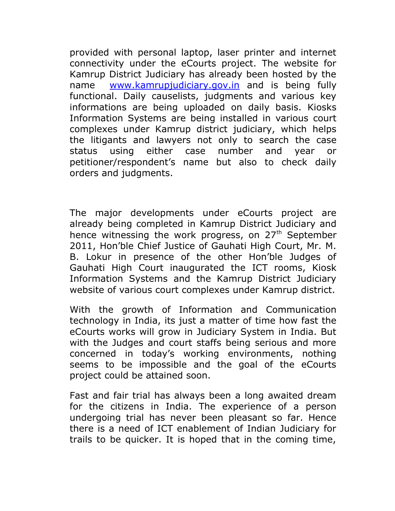provided with personal laptop, laser printer and internet connectivity under the eCourts project. The website for Kamrup District Judiciary has already been hosted by the name [www.kamrupjudiciary.gov.in](http://www.kamrupjudiciary.gov.in/) and is being fully functional. Daily causelists, judgments and various key informations are being uploaded on daily basis. Kiosks Information Systems are being installed in various court complexes under Kamrup district judiciary, which helps the litigants and lawyers not only to search the case status using either case number and year or petitioner/respondent's name but also to check daily orders and judgments.

The major developments under eCourts project are already being completed in Kamrup District Judiciary and hence witnessing the work progress, on 27<sup>th</sup> September 2011, Hon'ble Chief Justice of Gauhati High Court, Mr. M. B. Lokur in presence of the other Hon'ble Judges of Gauhati High Court inaugurated the ICT rooms, Kiosk Information Systems and the Kamrup District Judiciary website of various court complexes under Kamrup district.

With the growth of Information and Communication technology in India, its just a matter of time how fast the eCourts works will grow in Judiciary System in India. But with the Judges and court staffs being serious and more concerned in today's working environments, nothing seems to be impossible and the goal of the eCourts project could be attained soon.

Fast and fair trial has always been a long awaited dream for the citizens in India. The experience of a person undergoing trial has never been pleasant so far. Hence there is a need of ICT enablement of Indian Judiciary for trails to be quicker. It is hoped that in the coming time,